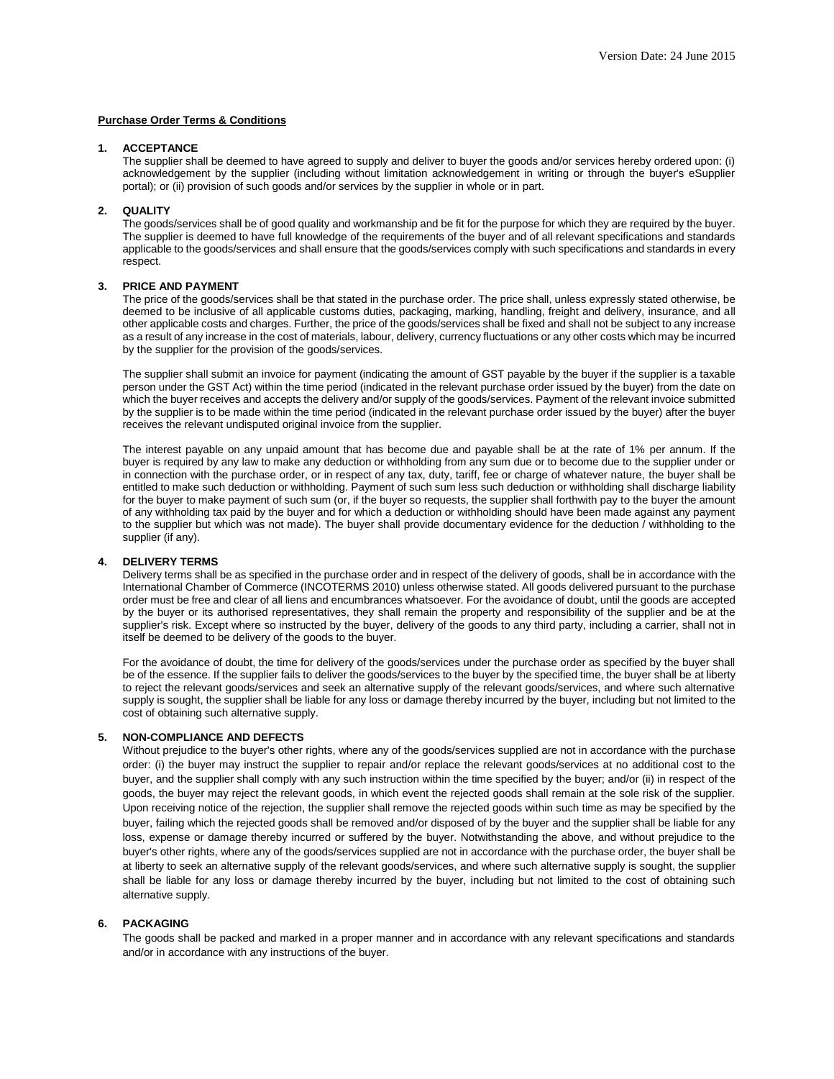# **Purchase Order Terms & Conditions**

## **1. ACCEPTANCE**

The supplier shall be deemed to have agreed to supply and deliver to buyer the goods and/or services hereby ordered upon: (i) acknowledgement by the supplier (including without limitation acknowledgement in writing or through the buyer's eSupplier portal); or (ii) provision of such goods and/or services by the supplier in whole or in part.

#### **2. QUALITY**

The goods/services shall be of good quality and workmanship and be fit for the purpose for which they are required by the buyer. The supplier is deemed to have full knowledge of the requirements of the buyer and of all relevant specifications and standards applicable to the goods/services and shall ensure that the goods/services comply with such specifications and standards in every respect.

# **3. PRICE AND PAYMENT**

The price of the goods/services shall be that stated in the purchase order. The price shall, unless expressly stated otherwise, be deemed to be inclusive of all applicable customs duties, packaging, marking, handling, freight and delivery, insurance, and all other applicable costs and charges. Further, the price of the goods/services shall be fixed and shall not be subject to any increase as a result of any increase in the cost of materials, labour, delivery, currency fluctuations or any other costs which may be incurred by the supplier for the provision of the goods/services.

The supplier shall submit an invoice for payment (indicating the amount of GST payable by the buyer if the supplier is a taxable person under the GST Act) within the time period (indicated in the relevant purchase order issued by the buyer) from the date on which the buyer receives and accepts the delivery and/or supply of the goods/services. Payment of the relevant invoice submitted by the supplier is to be made within the time period (indicated in the relevant purchase order issued by the buyer) after the buyer receives the relevant undisputed original invoice from the supplier.

The interest payable on any unpaid amount that has become due and payable shall be at the rate of 1% per annum. If the buyer is required by any law to make any deduction or withholding from any sum due or to become due to the supplier under or in connection with the purchase order, or in respect of any tax, duty, tariff, fee or charge of whatever nature, the buyer shall be entitled to make such deduction or withholding. Payment of such sum less such deduction or withholding shall discharge liability for the buyer to make payment of such sum (or, if the buyer so requests, the supplier shall forthwith pay to the buyer the amount of any withholding tax paid by the buyer and for which a deduction or withholding should have been made against any payment to the supplier but which was not made). The buyer shall provide documentary evidence for the deduction / withholding to the supplier (if any).

#### **4. DELIVERY TERMS**

Delivery terms shall be as specified in the purchase order and in respect of the delivery of goods, shall be in accordance with the International Chamber of Commerce (INCOTERMS 2010) unless otherwise stated. All goods delivered pursuant to the purchase order must be free and clear of all liens and encumbrances whatsoever. For the avoidance of doubt, until the goods are accepted by the buyer or its authorised representatives, they shall remain the property and responsibility of the supplier and be at the supplier's risk. Except where so instructed by the buyer, delivery of the goods to any third party, including a carrier, shall not in itself be deemed to be delivery of the goods to the buyer.

For the avoidance of doubt, the time for delivery of the goods/services under the purchase order as specified by the buyer shall be of the essence. If the supplier fails to deliver the goods/services to the buyer by the specified time, the buyer shall be at liberty to reject the relevant goods/services and seek an alternative supply of the relevant goods/services, and where such alternative supply is sought, the supplier shall be liable for any loss or damage thereby incurred by the buyer, including but not limited to the cost of obtaining such alternative supply.

# **5. NON-COMPLIANCE AND DEFECTS**

Without prejudice to the buyer's other rights, where any of the goods/services supplied are not in accordance with the purchase order: (i) the buyer may instruct the supplier to repair and/or replace the relevant goods/services at no additional cost to the buyer, and the supplier shall comply with any such instruction within the time specified by the buyer; and/or (ii) in respect of the goods, the buyer may reject the relevant goods, in which event the rejected goods shall remain at the sole risk of the supplier. Upon receiving notice of the rejection, the supplier shall remove the rejected goods within such time as may be specified by the buyer, failing which the rejected goods shall be removed and/or disposed of by the buyer and the supplier shall be liable for any loss, expense or damage thereby incurred or suffered by the buyer. Notwithstanding the above, and without prejudice to the buyer's other rights, where any of the goods/services supplied are not in accordance with the purchase order, the buyer shall be at liberty to seek an alternative supply of the relevant goods/services, and where such alternative supply is sought, the supplier shall be liable for any loss or damage thereby incurred by the buyer, including but not limited to the cost of obtaining such alternative supply.

# **6. PACKAGING**

The goods shall be packed and marked in a proper manner and in accordance with any relevant specifications and standards and/or in accordance with any instructions of the buyer.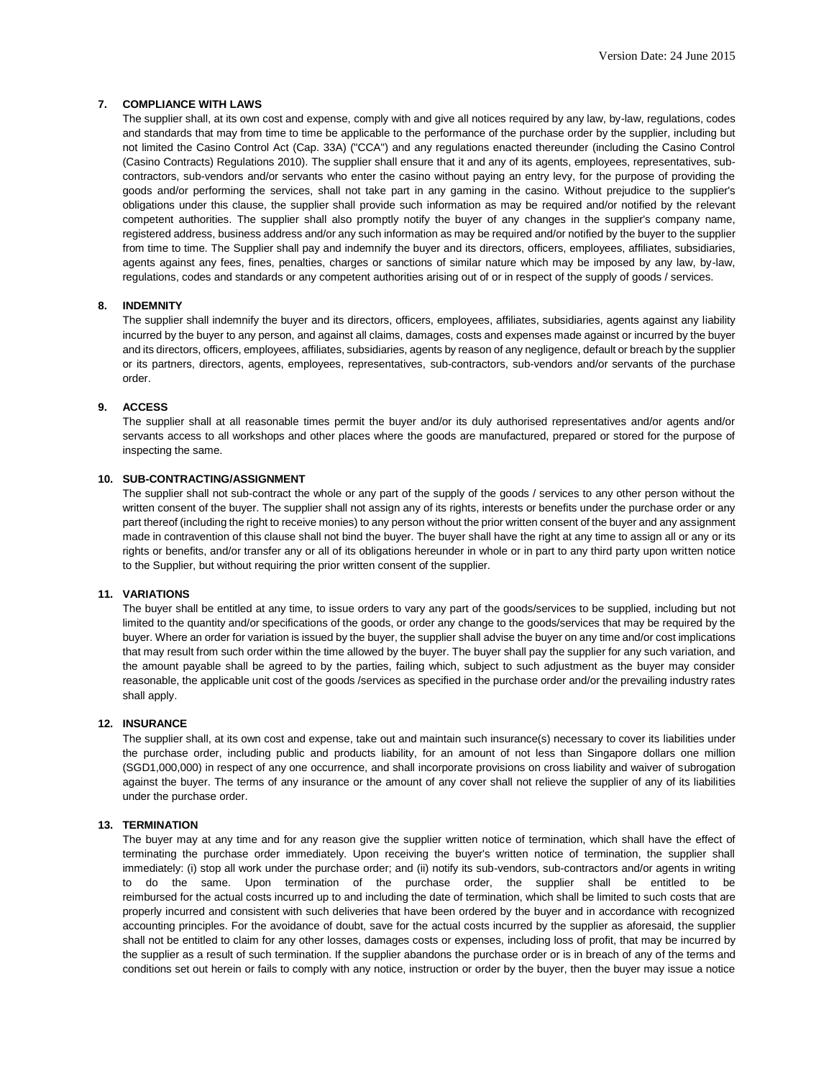# **7. COMPLIANCE WITH LAWS**

The supplier shall, at its own cost and expense, comply with and give all notices required by any law, by-law, regulations, codes and standards that may from time to time be applicable to the performance of the purchase order by the supplier, including but not limited the Casino Control Act (Cap. 33A) ("CCA") and any regulations enacted thereunder (including the Casino Control (Casino Contracts) Regulations 2010). The supplier shall ensure that it and any of its agents, employees, representatives, subcontractors, sub-vendors and/or servants who enter the casino without paying an entry levy, for the purpose of providing the goods and/or performing the services, shall not take part in any gaming in the casino. Without prejudice to the supplier's obligations under this clause, the supplier shall provide such information as may be required and/or notified by the relevant competent authorities. The supplier shall also promptly notify the buyer of any changes in the supplier's company name, registered address, business address and/or any such information as may be required and/or notified by the buyer to the supplier from time to time. The Supplier shall pay and indemnify the buyer and its directors, officers, employees, affiliates, subsidiaries, agents against any fees, fines, penalties, charges or sanctions of similar nature which may be imposed by any law, by-law, regulations, codes and standards or any competent authorities arising out of or in respect of the supply of goods / services.

# **8. INDEMNITY**

The supplier shall indemnify the buyer and its directors, officers, employees, affiliates, subsidiaries, agents against any liability incurred by the buyer to any person, and against all claims, damages, costs and expenses made against or incurred by the buyer and its directors, officers, employees, affiliates, subsidiaries, agents by reason of any negligence, default or breach by the supplier or its partners, directors, agents, employees, representatives, sub-contractors, sub-vendors and/or servants of the purchase order.

#### **9. ACCESS**

The supplier shall at all reasonable times permit the buyer and/or its duly authorised representatives and/or agents and/or servants access to all workshops and other places where the goods are manufactured, prepared or stored for the purpose of inspecting the same.

# **10. SUB-CONTRACTING/ASSIGNMENT**

The supplier shall not sub-contract the whole or any part of the supply of the goods / services to any other person without the written consent of the buyer. The supplier shall not assign any of its rights, interests or benefits under the purchase order or any part thereof (including the right to receive monies) to any person without the prior written consent of the buyer and any assignment made in contravention of this clause shall not bind the buyer. The buyer shall have the right at any time to assign all or any or its rights or benefits, and/or transfer any or all of its obligations hereunder in whole or in part to any third party upon written notice to the Supplier, but without requiring the prior written consent of the supplier.

#### **11. VARIATIONS**

The buyer shall be entitled at any time, to issue orders to vary any part of the goods/services to be supplied, including but not limited to the quantity and/or specifications of the goods, or order any change to the goods/services that may be required by the buyer. Where an order for variation is issued by the buyer, the supplier shall advise the buyer on any time and/or cost implications that may result from such order within the time allowed by the buyer. The buyer shall pay the supplier for any such variation, and the amount payable shall be agreed to by the parties, failing which, subject to such adjustment as the buyer may consider reasonable, the applicable unit cost of the goods /services as specified in the purchase order and/or the prevailing industry rates shall apply.

# **12. INSURANCE**

The supplier shall, at its own cost and expense, take out and maintain such insurance(s) necessary to cover its liabilities under the purchase order, including public and products liability, for an amount of not less than Singapore dollars one million (SGD1,000,000) in respect of any one occurrence, and shall incorporate provisions on cross liability and waiver of subrogation against the buyer. The terms of any insurance or the amount of any cover shall not relieve the supplier of any of its liabilities under the purchase order.

#### **13. TERMINATION**

The buyer may at any time and for any reason give the supplier written notice of termination, which shall have the effect of terminating the purchase order immediately. Upon receiving the buyer's written notice of termination, the supplier shall immediately: (i) stop all work under the purchase order; and (ii) notify its sub-vendors, sub-contractors and/or agents in writing to do the same. Upon termination of the purchase order, the supplier shall be entitled to be reimbursed for the actual costs incurred up to and including the date of termination, which shall be limited to such costs that are properly incurred and consistent with such deliveries that have been ordered by the buyer and in accordance with recognized accounting principles. For the avoidance of doubt, save for the actual costs incurred by the supplier as aforesaid, the supplier shall not be entitled to claim for any other losses, damages costs or expenses, including loss of profit, that may be incurred by the supplier as a result of such termination. If the supplier abandons the purchase order or is in breach of any of the terms and conditions set out herein or fails to comply with any notice, instruction or order by the buyer, then the buyer may issue a notice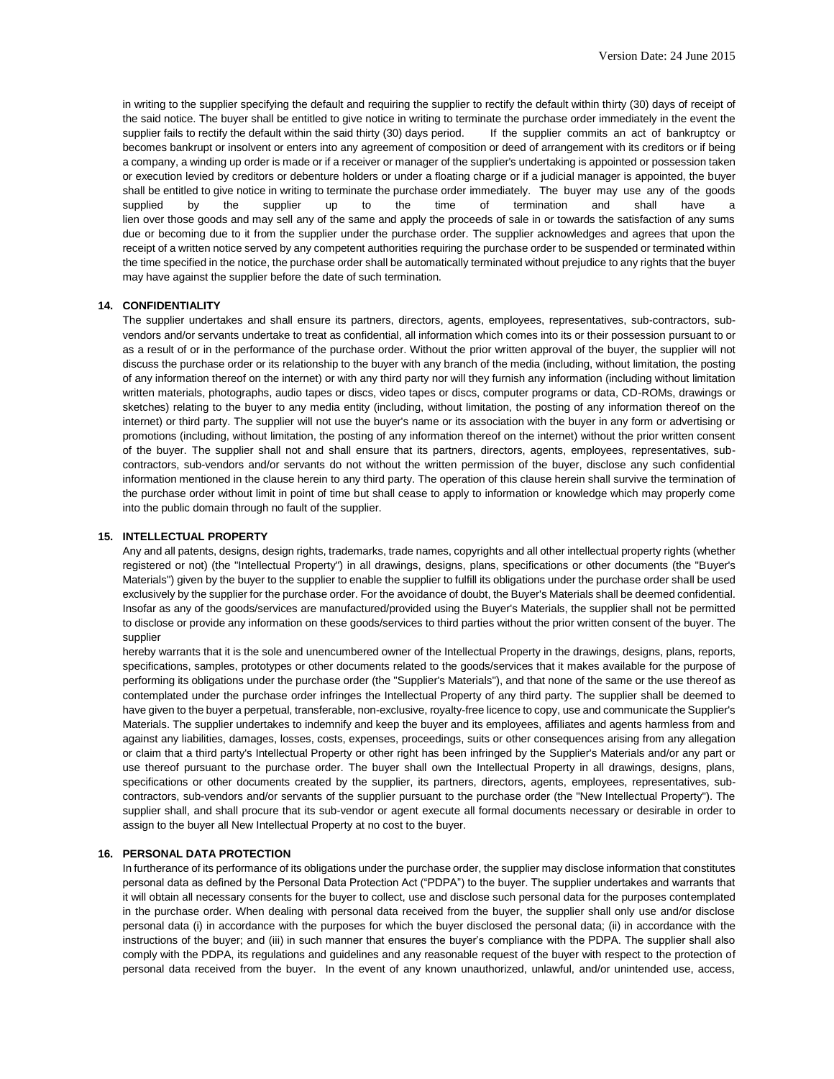in writing to the supplier specifying the default and requiring the supplier to rectify the default within thirty (30) days of receipt of the said notice. The buyer shall be entitled to give notice in writing to terminate the purchase order immediately in the event the supplier fails to rectify the default within the said thirty (30) days period. If the supplier commits an act of bankruptcy or becomes bankrupt or insolvent or enters into any agreement of composition or deed of arrangement with its creditors or if being a company, a winding up order is made or if a receiver or manager of the supplier's undertaking is appointed or possession taken or execution levied by creditors or debenture holders or under a floating charge or if a judicial manager is appointed, the buyer shall be entitled to give notice in writing to terminate the purchase order immediately. The buyer may use any of the goods supplied by the supplier up to the time of termination and shall have a lien over those goods and may sell any of the same and apply the proceeds of sale in or towards the satisfaction of any sums due or becoming due to it from the supplier under the purchase order. The supplier acknowledges and agrees that upon the receipt of a written notice served by any competent authorities requiring the purchase order to be suspended or terminated within the time specified in the notice, the purchase order shall be automatically terminated without prejudice to any rights that the buyer may have against the supplier before the date of such termination.

# **14. CONFIDENTIALITY**

The supplier undertakes and shall ensure its partners, directors, agents, employees, representatives, sub-contractors, subvendors and/or servants undertake to treat as confidential, all information which comes into its or their possession pursuant to or as a result of or in the performance of the purchase order. Without the prior written approval of the buyer, the supplier will not discuss the purchase order or its relationship to the buyer with any branch of the media (including, without limitation, the posting of any information thereof on the internet) or with any third party nor will they furnish any information (including without limitation written materials, photographs, audio tapes or discs, video tapes or discs, computer programs or data, CD-ROMs, drawings or sketches) relating to the buyer to any media entity (including, without limitation, the posting of any information thereof on the internet) or third party. The supplier will not use the buyer's name or its association with the buyer in any form or advertising or promotions (including, without limitation, the posting of any information thereof on the internet) without the prior written consent of the buyer. The supplier shall not and shall ensure that its partners, directors, agents, employees, representatives, subcontractors, sub-vendors and/or servants do not without the written permission of the buyer, disclose any such confidential information mentioned in the clause herein to any third party. The operation of this clause herein shall survive the termination of the purchase order without limit in point of time but shall cease to apply to information or knowledge which may properly come into the public domain through no fault of the supplier.

#### **15. INTELLECTUAL PROPERTY**

Any and all patents, designs, design rights, trademarks, trade names, copyrights and all other intellectual property rights (whether registered or not) (the "Intellectual Property") in all drawings, designs, plans, specifications or other documents (the "Buyer's Materials") given by the buyer to the supplier to enable the supplier to fulfill its obligations under the purchase order shall be used exclusively by the supplier for the purchase order. For the avoidance of doubt, the Buyer's Materials shall be deemed confidential. Insofar as any of the goods/services are manufactured/provided using the Buyer's Materials, the supplier shall not be permitted to disclose or provide any information on these goods/services to third parties without the prior written consent of the buyer. The supplier

hereby warrants that it is the sole and unencumbered owner of the Intellectual Property in the drawings, designs, plans, reports, specifications, samples, prototypes or other documents related to the goods/services that it makes available for the purpose of performing its obligations under the purchase order (the "Supplier's Materials"), and that none of the same or the use thereof as contemplated under the purchase order infringes the Intellectual Property of any third party. The supplier shall be deemed to have given to the buyer a perpetual, transferable, non-exclusive, royalty-free licence to copy, use and communicate the Supplier's Materials. The supplier undertakes to indemnify and keep the buyer and its employees, affiliates and agents harmless from and against any liabilities, damages, losses, costs, expenses, proceedings, suits or other consequences arising from any allegation or claim that a third party's Intellectual Property or other right has been infringed by the Supplier's Materials and/or any part or use thereof pursuant to the purchase order. The buyer shall own the Intellectual Property in all drawings, designs, plans, specifications or other documents created by the supplier, its partners, directors, agents, employees, representatives, subcontractors, sub-vendors and/or servants of the supplier pursuant to the purchase order (the "New Intellectual Property"). The supplier shall, and shall procure that its sub-vendor or agent execute all formal documents necessary or desirable in order to assign to the buyer all New Intellectual Property at no cost to the buyer.

# **16. PERSONAL DATA PROTECTION**

In furtherance of its performance of its obligations under the purchase order, the supplier may disclose information that constitutes personal data as defined by the Personal Data Protection Act ("PDPA") to the buyer. The supplier undertakes and warrants that it will obtain all necessary consents for the buyer to collect, use and disclose such personal data for the purposes contemplated in the purchase order. When dealing with personal data received from the buyer, the supplier shall only use and/or disclose personal data (i) in accordance with the purposes for which the buyer disclosed the personal data; (ii) in accordance with the instructions of the buyer; and (iii) in such manner that ensures the buyer's compliance with the PDPA. The supplier shall also comply with the PDPA, its regulations and guidelines and any reasonable request of the buyer with respect to the protection of personal data received from the buyer. In the event of any known unauthorized, unlawful, and/or unintended use, access,